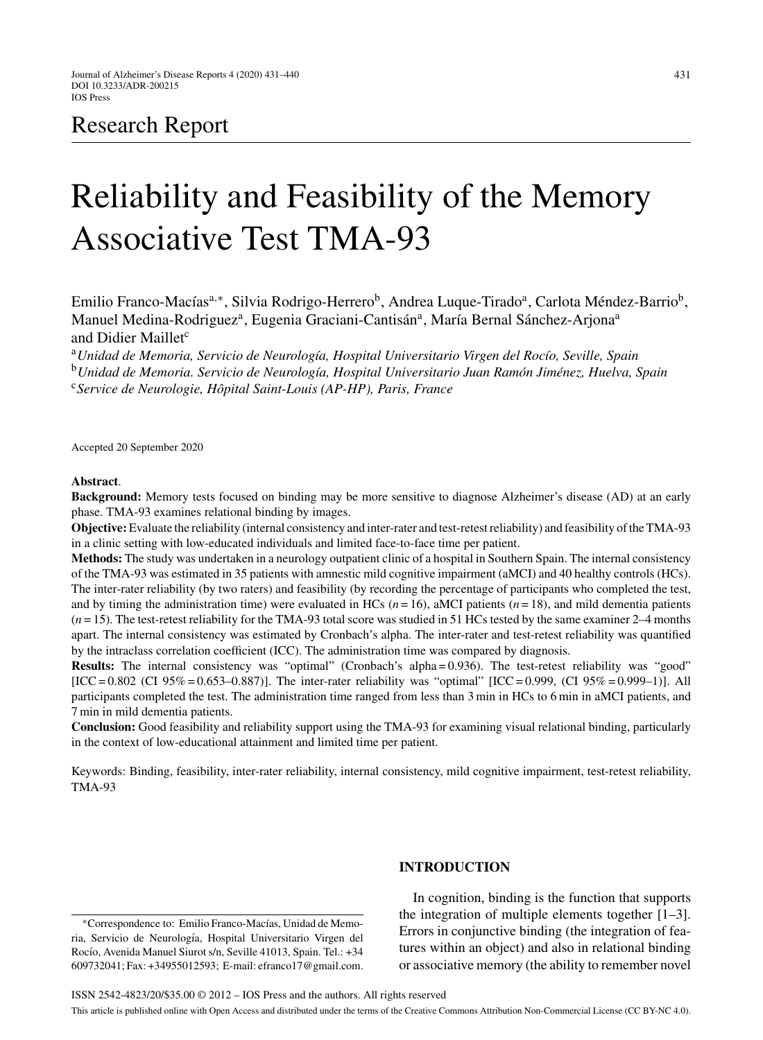# Research Report

# Reliability and Feasibility of the Memory Associative Test TMA-93

Emilio Franco-Macías<sup>a,∗</sup>, Silvia Rodrigo-Herrero<sup>b</sup>, Andrea Luque-Tirado<sup>a</sup>, Carlota Méndez-Barrio<sup>b</sup>, Manuel Medina-Rodriguez<sup>a</sup>, Eugenia Graciani-Cantisán<sup>a</sup>, María Bernal Sánchez-Arjona<sup>a</sup> and Didier Maillet<sup>c</sup>

<sup>a</sup> Unidad de Memoria, Servicio de Neurología, Hospital Universitario Virgen del Rocío, Seville, Spain <sup>b</sup>Unidad de Memoria. Servicio de Neurología, Hospital Universitario Juan Ramón Jiménez, Huelva, Spain <sup>c</sup>*Service de Neurologie, Hˆopital Saint-Louis (AP-HP), Paris, France*

Accepted 20 September 2020

#### **Abstract**.

**Background:** Memory tests focused on binding may be more sensitive to diagnose Alzheimer's disease (AD) at an early phase. TMA-93 examines relational binding by images.

**Objective:**Evaluate the reliability (internal consistency and inter-rater and test-retest reliability) and feasibility of the TMA-93 in a clinic setting with low-educated individuals and limited face-to-face time per patient.

**Methods:** The study was undertaken in a neurology outpatient clinic of a hospital in Southern Spain. The internal consistency of the TMA-93 was estimated in 35 patients with amnestic mild cognitive impairment (aMCI) and 40 healthy controls (HCs). The inter-rater reliability (by two raters) and feasibility (by recording the percentage of participants who completed the test, and by timing the administration time) were evaluated in HCs  $(n = 16)$ , aMCI patients  $(n = 18)$ , and mild dementia patients (*n* = 15). The test-retest reliability for the TMA-93 total score was studied in 51 HCs tested by the same examiner 2–4 months apart. The internal consistency was estimated by Cronbach's alpha. The inter-rater and test-retest reliability was quantified by the intraclass correlation coefficient (ICC). The administration time was compared by diagnosis.

**Results:** The internal consistency was "optimal" (Cronbach's alpha = 0.936). The test-retest reliability was "good"  $[ICC = 0.802 \ (CI 95\% = 0.653-0.887)].$  The inter-rater reliability was "optimal"  $[ICC = 0.999, (CI 95\% = 0.999-1)].$  All participants completed the test. The administration time ranged from less than 3 min in HCs to 6 min in aMCI patients, and 7 min in mild dementia patients.

**Conclusion:** Good feasibility and reliability support using the TMA-93 for examining visual relational binding, particularly in the context of low-educational attainment and limited time per patient.

Keywords: Binding, feasibility, inter-rater reliability, internal consistency, mild cognitive impairment, test-retest reliability, TMA-93

<sup>∗</sup>Correspondence to: Emilio Franco-Mac´ıas, Unidad de Memoria, Servicio de Neurología, Hospital Universitario Virgen del Rocío, Avenida Manuel Siurot s/n, Seville 41013, Spain. Tel.: +34 609732041; Fax: +34955012593; E-mail: [efranco17@gmail.com](mailto:efranco17@gmail.com).

# **INTRODUCTION**

In cognition, binding is the function that supports the integration of multiple elements together [1–3]. Errors in conjunctive binding (the integration of features within an object) and also in relational binding or associative memory (the ability to remember novel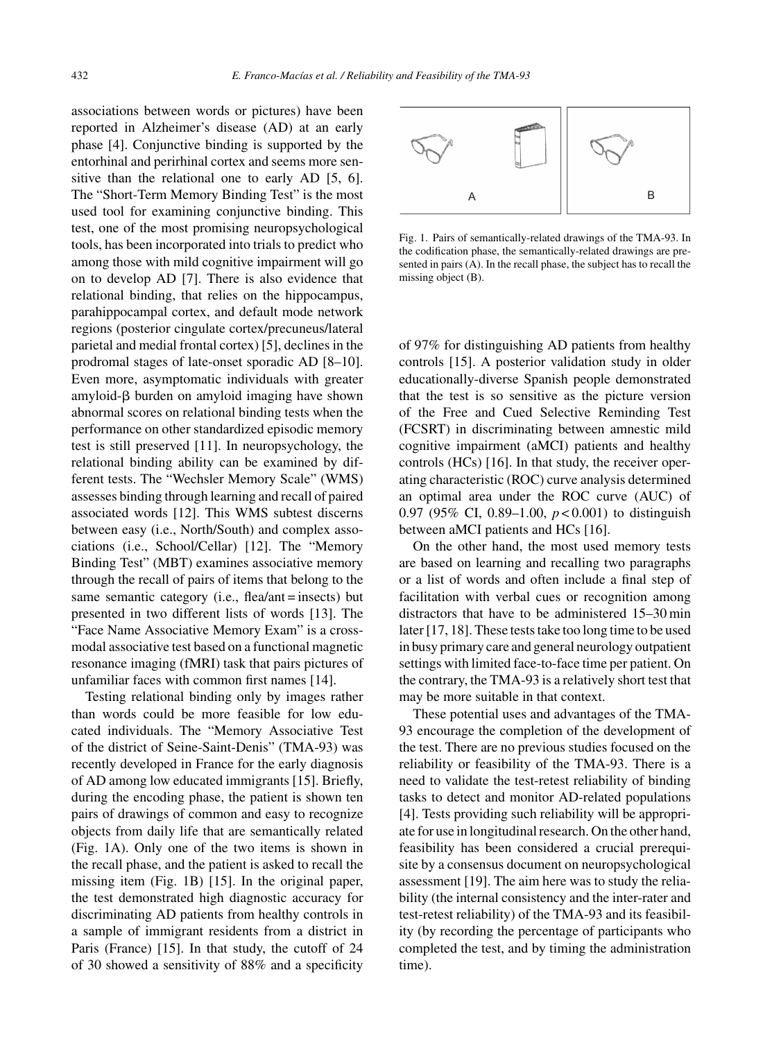associations between words or pictures) have been reported in Alzheimer's disease (AD) at an early phase [4]. Conjunctive binding is supported by the entorhinal and perirhinal cortex and seems more sensitive than the relational one to early AD [5, 6]. The "Short-Term Memory Binding Test" is the most used tool for examining conjunctive binding. This test, one of the most promising neuropsychological tools, has been incorporated into trials to predict who among those with mild cognitive impairment will go on to develop AD [7]. There is also evidence that relational binding, that relies on the hippocampus, parahippocampal cortex, and default mode network regions (posterior cingulate cortex/precuneus/lateral parietal and medial frontal cortex) [5], declines in the prodromal stages of late-onset sporadic AD [8–10]. Even more, asymptomatic individuals with greater  $amyloid-\beta$  burden on amyloid imaging have shown abnormal scores on relational binding tests when the performance on other standardized episodic memory test is still preserved [11]. In neuropsychology, the relational binding ability can be examined by different tests. The "Wechsler Memory Scale" (WMS) assesses binding through learning and recall of paired associated words [12]. This WMS subtest discerns between easy (i.e., North/South) and complex associations (i.e., School/Cellar) [12]. The "Memory Binding Test" (MBT) examines associative memory through the recall of pairs of items that belong to the same semantic category (i.e., flea/ant = insects) but presented in two different lists of words [13]. The "Face Name Associative Memory Exam" is a crossmodal associative test based on a functional magnetic resonance imaging (fMRI) task that pairs pictures of unfamiliar faces with common first names [14].

Testing relational binding only by images rather than words could be more feasible for low educated individuals. The "Memory Associative Test of the district of Seine-Saint-Denis" (TMA-93) was recently developed in France for the early diagnosis of AD among low educated immigrants [15]. Briefly, during the encoding phase, the patient is shown ten pairs of drawings of common and easy to recognize objects from daily life that are semantically related (Fig. 1A). Only one of the two items is shown in the recall phase, and the patient is asked to recall the missing item (Fig. 1B) [15]. In the original paper, the test demonstrated high diagnostic accuracy for discriminating AD patients from healthy controls in a sample of immigrant residents from a district in Paris (France) [15]. In that study, the cutoff of 24 of 30 showed a sensitivity of 88% and a specificity



Fig. 1. Pairs of semantically-related drawings of the TMA-93. In the codification phase, the semantically-related drawings are presented in pairs (A). In the recall phase, the subject has to recall the missing object (B).

of 97% for distinguishing AD patients from healthy controls [15]. A posterior validation study in older educationally-diverse Spanish people demonstrated that the test is so sensitive as the picture version of the Free and Cued Selective Reminding Test (FCSRT) in discriminating between amnestic mild cognitive impairment (aMCI) patients and healthy controls (HCs) [16]. In that study, the receiver operating characteristic (ROC) curve analysis determined an optimal area under the ROC curve (AUC) of 0.97 (95% CI, 0.89–1.00, *p* < 0.001) to distinguish between aMCI patients and HCs [16].

On the other hand, the most used memory tests are based on learning and recalling two paragraphs or a list of words and often include a final step of facilitation with verbal cues or recognition among distractors that have to be administered 15–30 min later [17, 18]. These tests take too long time to be used in busy primary care and general neurology outpatient settings with limited face-to-face time per patient. On the contrary, the TMA-93 is a relatively short test that may be more suitable in that context.

These potential uses and advantages of the TMA-93 encourage the completion of the development of the test. There are no previous studies focused on the reliability or feasibility of the TMA-93. There is a need to validate the test-retest reliability of binding tasks to detect and monitor AD-related populations [4]. Tests providing such reliability will be appropriate for use in longitudinal research. On the other hand, feasibility has been considered a crucial prerequisite by a consensus document on neuropsychological assessment [19]. The aim here was to study the reliability (the internal consistency and the inter-rater and test-retest reliability) of the TMA-93 and its feasibility (by recording the percentage of participants who completed the test, and by timing the administration time).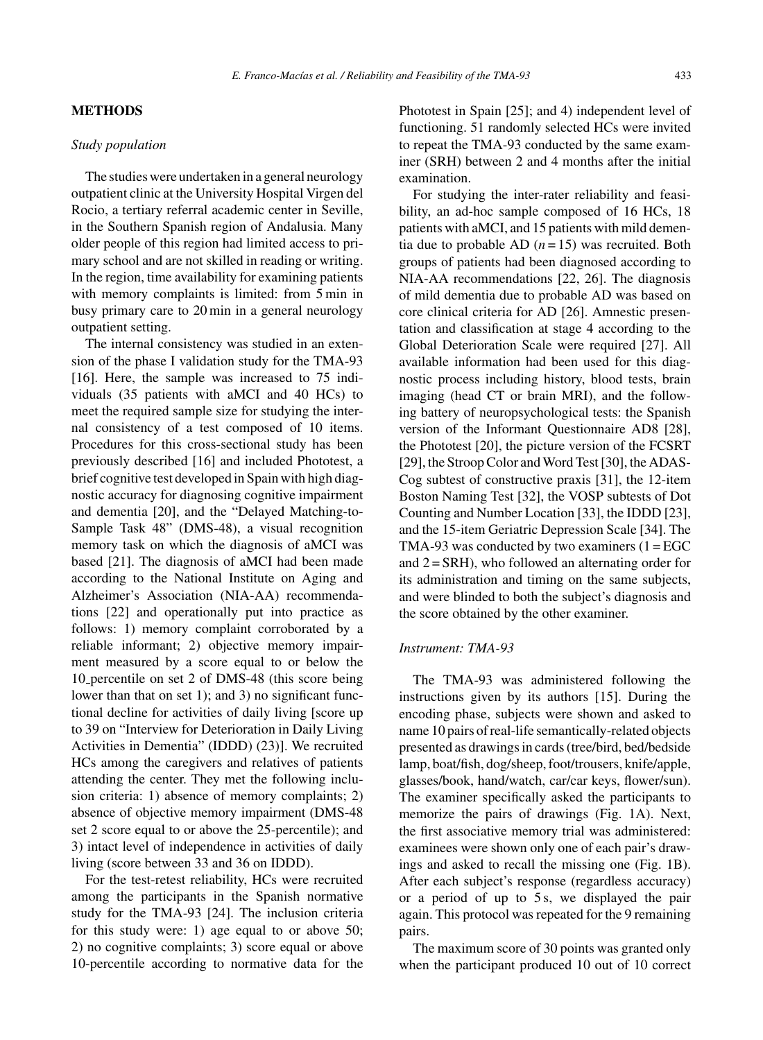#### **METHODS**

# *Study population*

The studies were undertaken in a general neurology outpatient clinic at the University Hospital Virgen del Rocio, a tertiary referral academic center in Seville, in the Southern Spanish region of Andalusia. Many older people of this region had limited access to primary school and are not skilled in reading or writing. In the region, time availability for examining patients with memory complaints is limited: from 5 min in busy primary care to 20 min in a general neurology outpatient setting.

The internal consistency was studied in an extension of the phase I validation study for the TMA-93 [16]. Here, the sample was increased to 75 individuals (35 patients with aMCI and 40 HCs) to meet the required sample size for studying the internal consistency of a test composed of 10 items. Procedures for this cross-sectional study has been previously described [16] and included Phototest, a brief cognitive test developed in Spain with high diagnostic accuracy for diagnosing cognitive impairment and dementia [20], and the "Delayed Matching-to-Sample Task 48" (DMS-48), a visual recognition memory task on which the diagnosis of aMCI was based [21]. The diagnosis of aMCI had been made according to the National Institute on Aging and Alzheimer's Association (NIA-AA) recommendations [22] and operationally put into practice as follows: 1) memory complaint corroborated by a reliable informant; 2) objective memory impairment measured by a score equal to or below the 10 percentile on set 2 of DMS-48 (this score being lower than that on set 1); and 3) no significant functional decline for activities of daily living [score up to 39 on "Interview for Deterioration in Daily Living Activities in Dementia" (IDDD) (23)]. We recruited HCs among the caregivers and relatives of patients attending the center. They met the following inclusion criteria: 1) absence of memory complaints; 2) absence of objective memory impairment (DMS-48 set 2 score equal to or above the 25-percentile); and 3) intact level of independence in activities of daily living (score between 33 and 36 on IDDD).

For the test-retest reliability, HCs were recruited among the participants in the Spanish normative study for the TMA-93 [24]. The inclusion criteria for this study were: 1) age equal to or above 50; 2) no cognitive complaints; 3) score equal or above 10-percentile according to normative data for the Phototest in Spain [25]; and 4) independent level of functioning. 51 randomly selected HCs were invited to repeat the TMA-93 conducted by the same examiner (SRH) between 2 and 4 months after the initial examination.

For studying the inter-rater reliability and feasibility, an ad-hoc sample composed of 16 HCs, 18 patients with aMCI, and 15 patients with mild dementia due to probable AD  $(n = 15)$  was recruited. Both groups of patients had been diagnosed according to NIA-AA recommendations [22, 26]. The diagnosis of mild dementia due to probable AD was based on core clinical criteria for AD [26]. Amnestic presentation and classification at stage 4 according to the Global Deterioration Scale were required [27]. All available information had been used for this diagnostic process including history, blood tests, brain imaging (head CT or brain MRI), and the following battery of neuropsychological tests: the Spanish version of the Informant Questionnaire AD8 [28], the Phototest [20], the picture version of the FCSRT [29], the Stroop Color and Word Test [30], the ADAS-Cog subtest of constructive praxis [31], the 12-item Boston Naming Test [32], the VOSP subtests of Dot Counting and Number Location [33], the IDDD [23], and the 15-item Geriatric Depression Scale [34]. The TMA-93 was conducted by two examiners  $(1 = EGC)$ and  $2 = SRH$ ), who followed an alternating order for its administration and timing on the same subjects, and were blinded to both the subject's diagnosis and the score obtained by the other examiner.

#### *Instrument: TMA-93*

The TMA-93 was administered following the instructions given by its authors [15]. During the encoding phase, subjects were shown and asked to name 10 pairs of real-life semantically-related objects presented as drawings in cards (tree/bird, bed/bedside lamp, boat/fish, dog/sheep, foot/trousers, knife/apple, glasses/book, hand/watch, car/car keys, flower/sun). The examiner specifically asked the participants to memorize the pairs of drawings (Fig. 1A). Next, the first associative memory trial was administered: examinees were shown only one of each pair's drawings and asked to recall the missing one (Fig. 1B). After each subject's response (regardless accuracy) or a period of up to 5 s, we displayed the pair again. This protocol was repeated for the 9 remaining pairs.

The maximum score of 30 points was granted only when the participant produced 10 out of 10 correct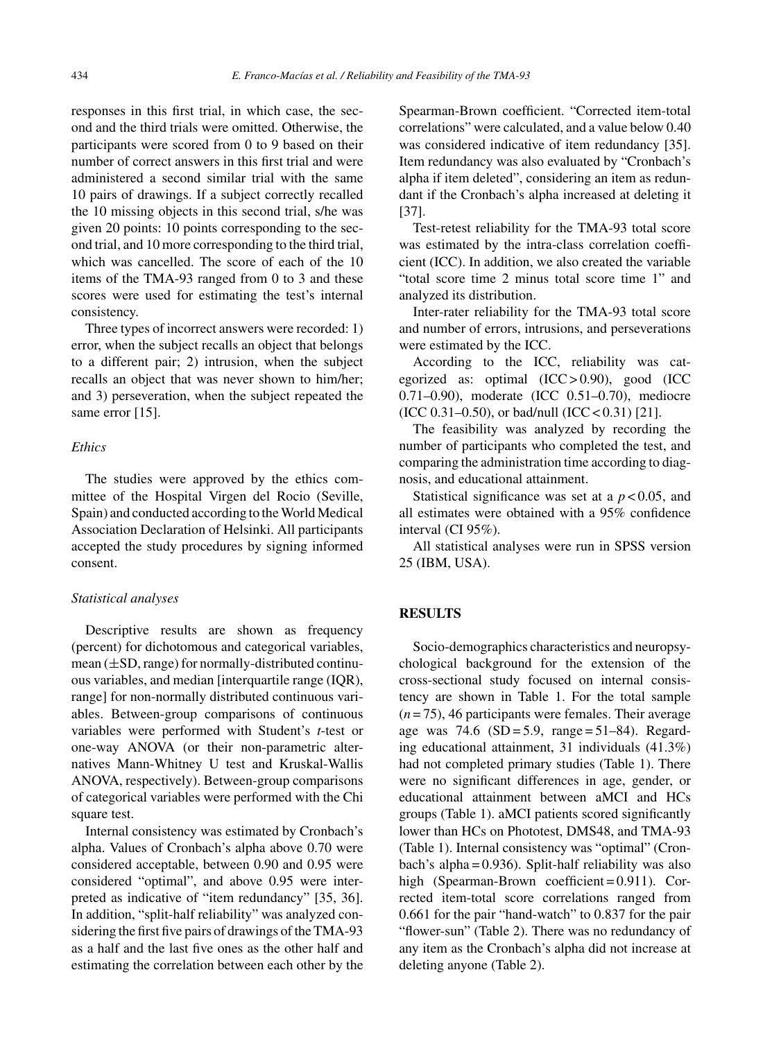responses in this first trial, in which case, the second and the third trials were omitted. Otherwise, the participants were scored from 0 to 9 based on their number of correct answers in this first trial and were administered a second similar trial with the same 10 pairs of drawings. If a subject correctly recalled the 10 missing objects in this second trial, s/he was given 20 points: 10 points corresponding to the second trial, and 10 more corresponding to the third trial, which was cancelled. The score of each of the 10 items of the TMA-93 ranged from 0 to 3 and these scores were used for estimating the test's internal consistency.

Three types of incorrect answers were recorded: 1) error, when the subject recalls an object that belongs to a different pair; 2) intrusion, when the subject recalls an object that was never shown to him/her; and 3) perseveration, when the subject repeated the same error [15].

#### *Ethics*

The studies were approved by the ethics committee of the Hospital Virgen del Rocio (Seville, Spain) and conducted according to the World Medical Association Declaration of Helsinki. All participants accepted the study procedures by signing informed consent.

# *Statistical analyses*

Descriptive results are shown as frequency (percent) for dichotomous and categorical variables, mean (±SD, range) for normally-distributed continuous variables, and median [interquartile range (IQR), range] for non-normally distributed continuous variables. Between-group comparisons of continuous variables were performed with Student's *t*-test or one-way ANOVA (or their non-parametric alternatives Mann-Whitney U test and Kruskal-Wallis ANOVA, respectively). Between-group comparisons of categorical variables were performed with the Chi square test.

Internal consistency was estimated by Cronbach's alpha. Values of Cronbach's alpha above 0.70 were considered acceptable, between 0.90 and 0.95 were considered "optimal", and above 0.95 were interpreted as indicative of "item redundancy" [35, 36]. In addition, "split-half reliability" was analyzed considering the first five pairs of drawings of the TMA-93 as a half and the last five ones as the other half and estimating the correlation between each other by the

Spearman-Brown coefficient. "Corrected item-total correlations" were calculated, and a value below 0.40 was considered indicative of item redundancy [35]. Item redundancy was also evaluated by "Cronbach's alpha if item deleted", considering an item as redundant if the Cronbach's alpha increased at deleting it [37].

Test-retest reliability for the TMA-93 total score was estimated by the intra-class correlation coefficient (ICC). In addition, we also created the variable "total score time 2 minus total score time 1" and analyzed its distribution.

Inter-rater reliability for the TMA-93 total score and number of errors, intrusions, and perseverations were estimated by the ICC.

According to the ICC, reliability was categorized as: optimal  $(ICC > 0.90)$ , good  $(ICC)$ 0.71–0.90), moderate (ICC 0.51–0.70), mediocre (ICC 0.31–0.50), or bad/null (ICC < 0.31) [21].

The feasibility was analyzed by recording the number of participants who completed the test, and comparing the administration time according to diagnosis, and educational attainment.

Statistical significance was set at a *p* < 0.05, and all estimates were obtained with a 95% confidence interval (CI 95%).

All statistical analyses were run in SPSS version 25 (IBM, USA).

# **RESULTS**

Socio-demographics characteristics and neuropsychological background for the extension of the cross-sectional study focused on internal consistency are shown in Table 1. For the total sample (*n* = 75), 46 participants were females. Their average age was 74.6  $(SD = 5.9, \text{range} = 51-84)$ . Regarding educational attainment, 31 individuals (41.3%) had not completed primary studies (Table 1). There were no significant differences in age, gender, or educational attainment between aMCI and HCs groups (Table 1). aMCI patients scored significantly lower than HCs on Phototest, DMS48, and TMA-93 (Table 1). Internal consistency was "optimal" (Cronbach's alpha = 0.936). Split-half reliability was also high (Spearman-Brown coefficient = 0.911). Corrected item-total score correlations ranged from 0.661 for the pair "hand-watch" to 0.837 for the pair "flower-sun" (Table 2). There was no redundancy of any item as the Cronbach's alpha did not increase at deleting anyone (Table 2).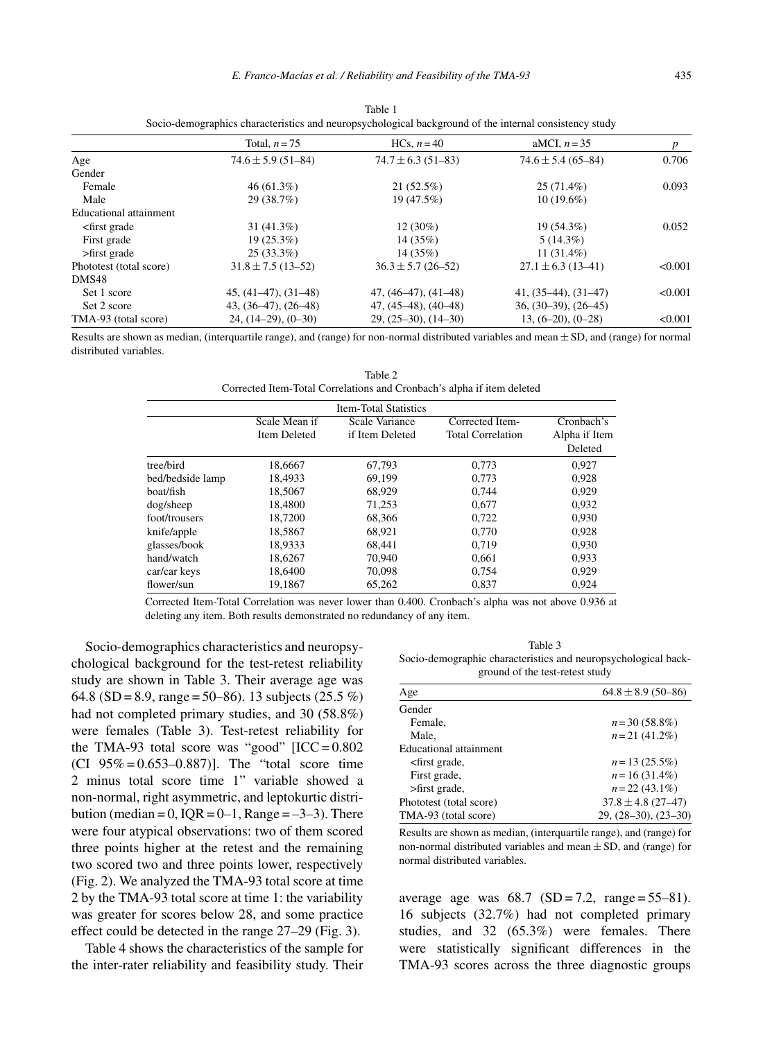|                                                                                                                                             | Total, $n = 75$        | HCs. $n=40$            | aMCI, $n = 35$         | p       |
|---------------------------------------------------------------------------------------------------------------------------------------------|------------------------|------------------------|------------------------|---------|
| Age                                                                                                                                         | $74.6 \pm 5.9$ (51-84) | $74.7 \pm 6.3$ (51-83) | $74.6 \pm 5.4$ (65-84) | 0.706   |
| Gender                                                                                                                                      |                        |                        |                        |         |
| Female                                                                                                                                      | $46(61.3\%)$           | 21(52.5%)              | $25(71.4\%)$           | 0.093   |
| Male                                                                                                                                        | 29 (38.7%)             | 19 (47.5%)             | $10(19.6\%)$           |         |
| Educational attainment                                                                                                                      |                        |                        |                        |         |
| <first grade<="" td=""><td><math>31(41.3\%)</math></td><td><math>12(30\%)</math></td><td><math>19(54.3\%)</math></td><td>0.052</td></first> | $31(41.3\%)$           | $12(30\%)$             | $19(54.3\%)$           | 0.052   |
| First grade                                                                                                                                 | $19(25.3\%)$           | 14(35%)                | $5(14.3\%)$            |         |
| $>$ first grade                                                                                                                             | $25(33.3\%)$           | 14(35%)                | $11(31.4\%)$           |         |
| Phototest (total score)                                                                                                                     | $31.8 \pm 7.5$ (13-52) | $36.3 \pm 5.7$ (26-52) | $27.1 \pm 6.3$ (13-41) | < 0.001 |
| DMS48                                                                                                                                       |                        |                        |                        |         |
| Set 1 score                                                                                                                                 | $45, (41-47), (31-48)$ | $47, (46-47), (41-48)$ | $41, (35-44), (31-47)$ | < 0.001 |
| Set 2 score                                                                                                                                 | $43, (36-47), (26-48)$ | $47, (45-48), (40-48)$ | $36, (30-39), (26-45)$ |         |
| TMA-93 (total score)                                                                                                                        | $24, (14-29), (0-30)$  | $29, (25-30), (14-30)$ | $13, (6-20), (0-28)$   | < 0.001 |

Table 1 Socio-demographics characteristics and neuropsychological background of the internal consistency study

Results are shown as median, (interquartile range), and (range) for non-normal distributed variables and mean  $\pm$  SD, and (range) for normal distributed variables.

Table 2 Corrected Item-Total Correlations and Cronbach's alpha if item deleted

|                  |                     | <b>Item-Total Statistics</b> |                          |               |
|------------------|---------------------|------------------------------|--------------------------|---------------|
|                  | Scale Mean if       | Scale Variance               | Corrected Item-          | Cronbach's    |
|                  | <b>Item Deleted</b> | if Item Deleted              | <b>Total Correlation</b> | Alpha if Item |
|                  |                     |                              |                          | Deleted       |
| tree/bird        | 18.6667             | 67.793                       | 0.773                    | 0.927         |
| bed/bedside lamp | 18.4933             | 69.199                       | 0.773                    | 0.928         |
| boat/fish        | 18,5067             | 68.929                       | 0.744                    | 0.929         |
| dog/sheep        | 18.4800             | 71.253                       | 0.677                    | 0.932         |
| foot/trousers    | 18,7200             | 68,366                       | 0.722                    | 0.930         |
| knife/apple      | 18.5867             | 68.921                       | 0.770                    | 0.928         |
| glasses/book     | 18.9333             | 68.441                       | 0.719                    | 0.930         |
| hand/watch       | 18.6267             | 70.940                       | 0.661                    | 0.933         |
| car/car keys     | 18,6400             | 70,098                       | 0.754                    | 0.929         |
| flower/sun       | 19.1867             | 65,262                       | 0,837                    | 0.924         |

Corrected Item-Total Correlation was never lower than 0.400. Cronbach's alpha was not above 0.936 at deleting any item. Both results demonstrated no redundancy of any item.

Socio-demographics characteristics and neuropsychological background for the test-retest reliability study are shown in Table 3. Their average age was 64.8 (SD = 8.9, range = 50–86). 13 subjects (25.5 %) had not completed primary studies, and 30 (58.8%) were females (Table 3). Test-retest reliability for the TMA-93 total score was "good"  $[ICC = 0.802]$ (CI  $95\% = 0.653 - 0.887$ ). The "total score time" 2 minus total score time 1" variable showed a non-normal, right asymmetric, and leptokurtic distribution (median =  $0$ , IQR =  $0-1$ , Range =  $-3-3$ ). There were four atypical observations: two of them scored three points higher at the retest and the remaining two scored two and three points lower, respectively (Fig. 2). We analyzed the TMA-93 total score at time 2 by the TMA-93 total score at time 1: the variability was greater for scores below 28, and some practice effect could be detected in the range 27–29 (Fig. 3).

Table 4 shows the characteristics of the sample for the inter-rater reliability and feasibility study. Their

Table 3 Socio-demographic characteristics and neuropsychological background of the test-retest study

| Age                                                                  | $64.8 \pm 8.9$ (50-86) |
|----------------------------------------------------------------------|------------------------|
| Gender                                                               |                        |
| Female.                                                              | $n = 30(58.8\%)$       |
| Male.                                                                | $n = 21$ (41.2%)       |
| Educational attainment                                               |                        |
| <first grade,<="" td=""><td><math>n = 13(25.5\%)</math></td></first> | $n = 13(25.5\%)$       |
| First grade,                                                         | $n = 16(31.4\%)$       |
| >first grade,                                                        | $n = 22(43.1\%)$       |
| Phototest (total score)                                              | $37.8 \pm 4.8$ (27-47) |
| TMA-93 (total score)                                                 | $29, (28-30), (23-30)$ |

Results are shown as median, (interquartile range), and (range) for non-normal distributed variables and mean  $\pm$  SD, and (range) for normal distributed variables.

average age was  $68.7$   $(SD = 7.2, \text{ range} = 55-81)$ . 16 subjects (32.7%) had not completed primary studies, and 32 (65.3%) were females. There were statistically significant differences in the TMA-93 scores across the three diagnostic groups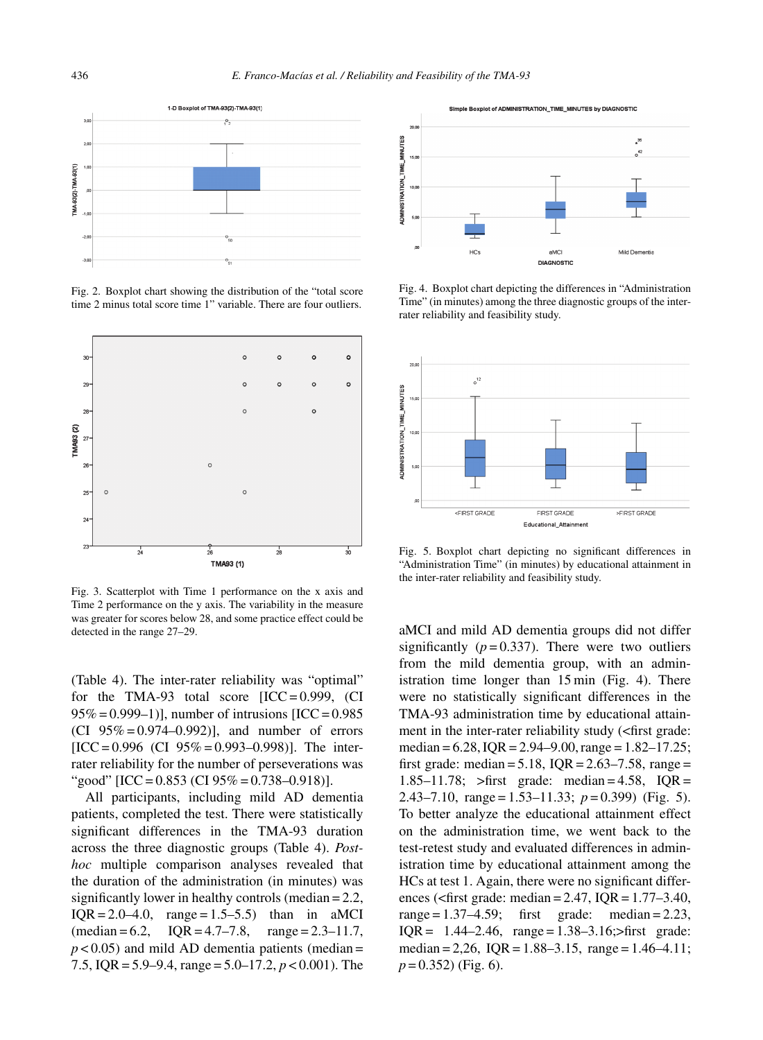

Fig. 2. Boxplot chart showing the distribution of the "total score time 2 minus total score time 1" variable. There are four outliers.



Fig. 3. Scatterplot with Time 1 performance on the x axis and Time 2 performance on the y axis. The variability in the measure was greater for scores below 28, and some practice effect could be detected in the range 27–29.

(Table 4). The inter-rater reliability was "optimal" for the TMA-93 total score  $[ICC = 0.999, (CI)$  $95\% = 0.999 - 1$ ], number of intrusions [ICC = 0.985] (CI  $95\% = 0.974 - 0.992$ ), and number of errors  $[ICC = 0.996$  (CI 95% = 0.993–0.998)]. The interrater reliability for the number of perseverations was "good"  $[ICC = 0.853$  (CI 95% = 0.738–0.918)].

All participants, including mild AD dementia patients, completed the test. There were statistically significant differences in the TMA-93 duration across the three diagnostic groups (Table 4). *Posthoc* multiple comparison analyses revealed that the duration of the administration (in minutes) was significantly lower in healthy controls (median = 2.2,  $IQR = 2.0 - 4.0$ , range = 1.5–5.5) than in aMCI  $(median = 6.2, IQR = 4.7–7.8, range = 2.3–11.7,$  $p$  < 0.05) and mild AD dementia patients (median = 7.5, IQR = 5.9–9.4, range = 5.0–17.2, *p* < 0.001). The

 $\infty$ TIME MINUTES  $^{35}$  $\overline{1}$  $161$ **DMINISTRATION**  $H<sub>2</sub>$  $\overline{aMC}$ Mild Dementis **DIACNOSTIC** 

Simple Boxplot of ADMINISTRATION TIME MINUTES by DIAGNOSTIC

Fig. 4. Boxplot chart depicting the differences in "Administration Time" (in minutes) among the three diagnostic groups of the interrater reliability and feasibility study.



Fig. 5. Boxplot chart depicting no significant differences in "Administration Time" (in minutes) by educational attainment in the inter-rater reliability and feasibility study.

aMCI and mild AD dementia groups did not differ significantly  $(p=0.337)$ . There were two outliers from the mild dementia group, with an administration time longer than 15 min (Fig. 4). There were no statistically significant differences in the TMA-93 administration time by educational attainment in the inter-rater reliability study (<first grade: median =  $6.28$ , IQR =  $2.94-9.00$ , range =  $1.82-17.25$ ; first grade: median =  $5.18$ , IQR =  $2.63 - 7.58$ , range = 1.85–11.78; >first grade: median = 4.58, IQR = 2.43–7.10, range = 1.53–11.33; *p* = 0.399) (Fig. 5). To better analyze the educational attainment effect on the administration time, we went back to the test-retest study and evaluated differences in administration time by educational attainment among the HCs at test 1. Again, there were no significant differences (<first grade: median =  $2.47$ , IQR =  $1.77-3.40$ , range  $= 1.37 - 4.59$ ; first grade: median  $= 2.23$ , IQR =  $1.44 - 2.46$ , range =  $1.38 - 3.16$ ; > first grade: median = 2,26,  $IQR = 1.88 - 3.15$ , range = 1.46-4.11; *p* = 0.352) (Fig. 6).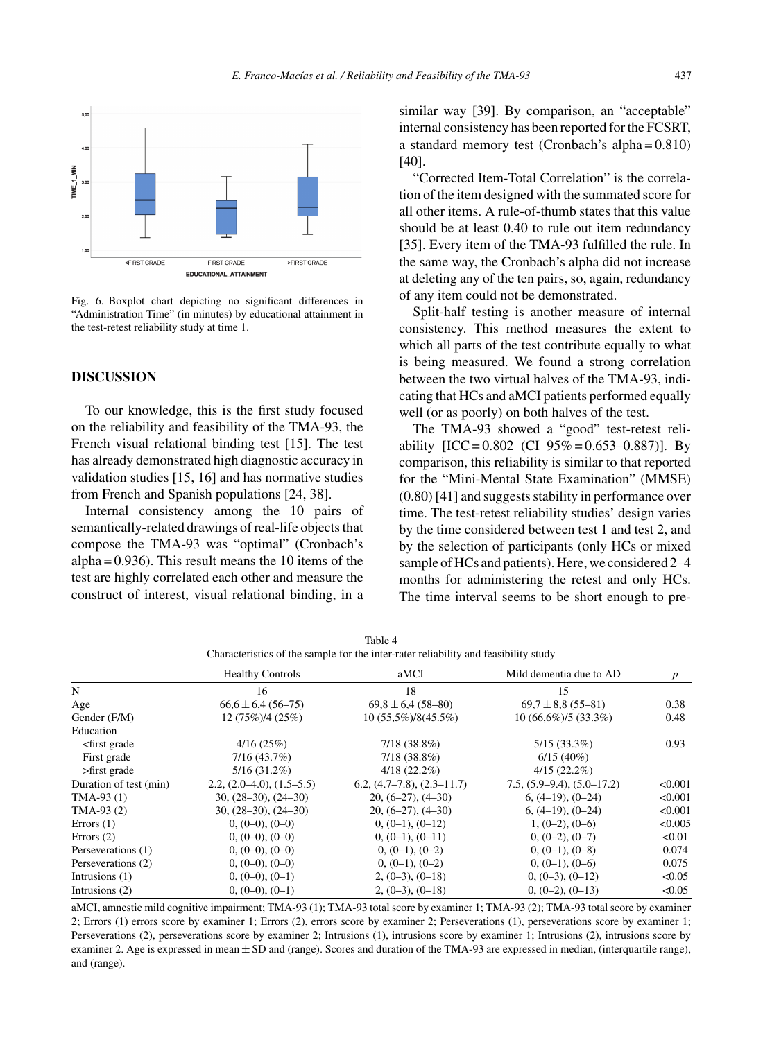

Fig. 6. Boxplot chart depicting no significant differences in "Administration Time" (in minutes) by educational attainment in the test-retest reliability study at time 1.

#### **DISCUSSION**

To our knowledge, this is the first study focused on the reliability and feasibility of the TMA-93, the French visual relational binding test [15]. The test has already demonstrated high diagnostic accuracy in validation studies [15, 16] and has normative studies from French and Spanish populations [24, 38].

Internal consistency among the 10 pairs of semantically-related drawings of real-life objects that compose the TMA-93 was "optimal" (Cronbach's alpha =  $0.936$ ). This result means the 10 items of the test are highly correlated each other and measure the construct of interest, visual relational binding, in a

similar way [39]. By comparison, an "acceptable" internal consistency has been reported for the FCSRT, a standard memory test (Cronbach's alpha = 0.810) [40].

"Corrected Item-Total Correlation" is the correlation of the item designed with the summated score for all other items. A rule-of-thumb states that this value should be at least 0.40 to rule out item redundancy [35]. Every item of the TMA-93 fulfilled the rule. In the same way, the Cronbach's alpha did not increase at deleting any of the ten pairs, so, again, redundancy of any item could not be demonstrated.

Split-half testing is another measure of internal consistency. This method measures the extent to which all parts of the test contribute equally to what is being measured. We found a strong correlation between the two virtual halves of the TMA-93, indicating that HCs and aMCI patients performed equally well (or as poorly) on both halves of the test.

The TMA-93 showed a "good" test-retest reliability  $[ICC = 0.802 \ (CI \ 95\% = 0.653 - 0.887)]$ . By comparison, this reliability is similar to that reported for the "Mini-Mental State Examination" (MMSE) (0.80) [41] and suggests stability in performance over time. The test-retest reliability studies' design varies by the time considered between test 1 and test 2, and by the selection of participants (only HCs or mixed sample of HCs and patients). Here, we considered 2–4 months for administering the retest and only HCs. The time interval seems to be short enough to pre-

| Characteristics of the sample for the inter-rater reliability and feasibility study                                                |                             |                         |                              |                  |  |
|------------------------------------------------------------------------------------------------------------------------------------|-----------------------------|-------------------------|------------------------------|------------------|--|
|                                                                                                                                    | <b>Healthy Controls</b>     | aMCI                    | Mild dementia due to AD      | $\boldsymbol{p}$ |  |
| N                                                                                                                                  | 16                          | 18                      | 15                           |                  |  |
| Age                                                                                                                                | $66,6 \pm 6,4(56-75)$       | $69.8 \pm 6.4$ (58-80)  | $69.7 \pm 8.8$ (55-81)       | 0.38             |  |
| Gender (F/M)                                                                                                                       | $12(75\%)/4(25\%)$          | 10 (55,5%)/8(45.5%)     | $10(66,6\%)/5(33.3\%)$       | 0.48             |  |
| Education                                                                                                                          |                             |                         |                              |                  |  |
| <first grade<="" td=""><td>4/16(25%)</td><td><math>7/18(38.8\%)</math></td><td><math>5/15(33.3\%)</math></td><td>0.93</td></first> | 4/16(25%)                   | $7/18(38.8\%)$          | $5/15(33.3\%)$               | 0.93             |  |
| First grade                                                                                                                        | 7/16(43.7%)                 | $7/18(38.8\%)$          | 6/15(40%)                    |                  |  |
| $>$ first grade                                                                                                                    | $5/16(31.2\%)$              | $4/18(22.2\%)$          | $4/15(22.2\%)$               |                  |  |
| Duration of test (min)                                                                                                             | $2.2, (2.0-4.0), (1.5-5.5)$ | $(4.7-7.8), (2.3-11.7)$ | $7.5, (5.9-9.4), (5.0-17.2)$ | < 0.001          |  |
| $TMA-93(1)$                                                                                                                        | $30, (28-30), (24-30)$      | $20, (6-27), (4-30)$    | $(4-19)$ , $(0-24)$          | < 0.001          |  |
| $TMA-93(2)$                                                                                                                        | $30, (28-30), (24-30)$      | $20, (6-27), (4-30)$    | $(4-19)$ , $(0-24)$          | < 0.001          |  |
| Errors $(1)$                                                                                                                       | $(0, (0-0), (0-0))$         | $0, (0-1), (0-12)$      | $1, (0-2), (0-6)$            | < 0.005          |  |
| Errors $(2)$                                                                                                                       | $0, (0-0), (0-0)$           | $0, (0-1), (0-11)$      | $0, (0-2), (0-7)$            | < 0.01           |  |
| Perseverations (1)                                                                                                                 | $(0, (0-0), (0-0))$         | $0, (0-1), (0-2)$       | $0, (0-1), (0-8)$            | 0.074            |  |
| Perseverations (2)                                                                                                                 | $(0, (0-0), (0-0))$         | $0, (0-1), (0-2)$       | $0, (0-1), (0-6)$            | 0.075            |  |
| Intrusions $(1)$                                                                                                                   | $(0, (0-0), (0-1))$         | $2, (0-3), (0-18)$      | $(0, (0-3), (0-12))$         | < 0.05           |  |
| Intrusions (2)                                                                                                                     | $(0, (0-0), (0-1))$         | $2, (0-3), (0-18)$      | $0, (0-2), (0-13)$           | < 0.05           |  |

Table 4 Characteristics of the sample for the inter-rater reliability and feasibility study

aMCI, amnestic mild cognitive impairment; TMA-93 (1); TMA-93 total score by examiner 1; TMA-93 (2); TMA-93 total score by examiner 2; Errors (1) errors score by examiner 1; Errors (2), errors score by examiner 2; Perseverations (1), perseverations score by examiner 1; Perseverations (2), perseverations score by examiner 2; Intrusions (1), intrusions score by examiner 1; Intrusions (2), intrusions score by examiner 2. Age is expressed in mean  $\pm$  SD and (range). Scores and duration of the TMA-93 are expressed in median, (interquartile range), and (range).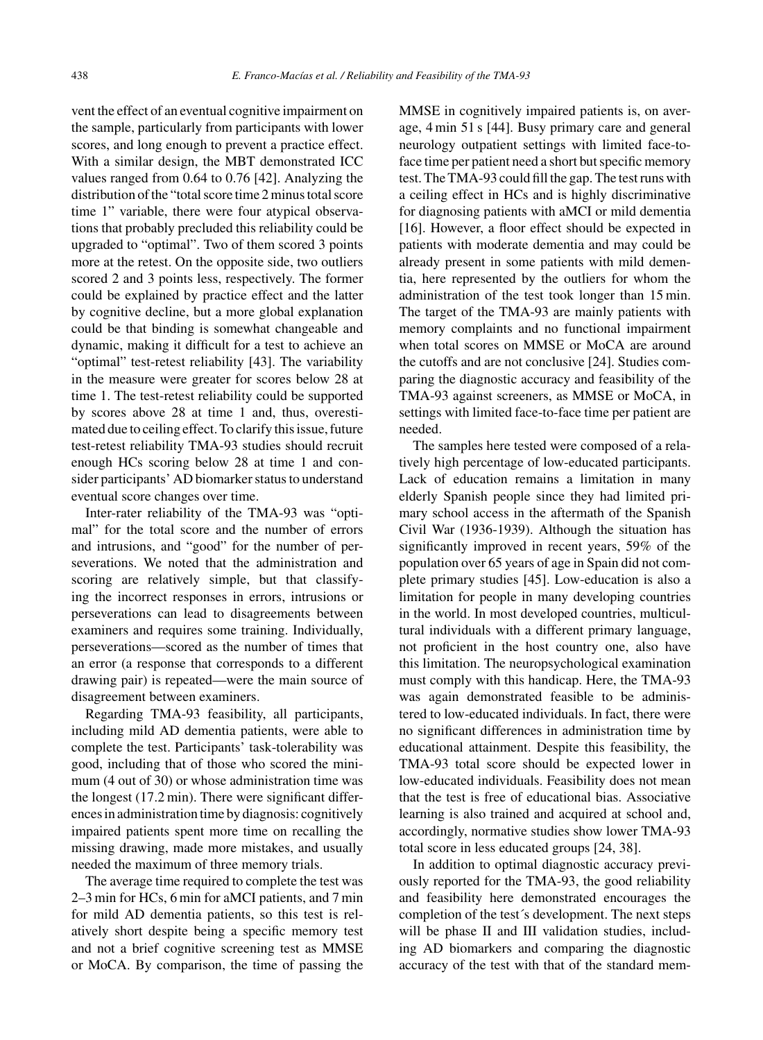vent the effect of an eventual cognitive impairment on the sample, particularly from participants with lower scores, and long enough to prevent a practice effect. With a similar design, the MBT demonstrated ICC values ranged from 0.64 to 0.76 [42]. Analyzing the distribution of the "total score time 2 minus total score time 1" variable, there were four atypical observations that probably precluded this reliability could be upgraded to "optimal". Two of them scored 3 points more at the retest. On the opposite side, two outliers scored 2 and 3 points less, respectively. The former could be explained by practice effect and the latter by cognitive decline, but a more global explanation could be that binding is somewhat changeable and dynamic, making it difficult for a test to achieve an "optimal" test-retest reliability [43]. The variability in the measure were greater for scores below 28 at time 1. The test-retest reliability could be supported by scores above 28 at time 1 and, thus, overestimated due to ceiling effect. To clarify this issue, future test-retest reliability TMA-93 studies should recruit enough HCs scoring below 28 at time 1 and consider participants' AD biomarker status to understand eventual score changes over time.

Inter-rater reliability of the TMA-93 was "optimal" for the total score and the number of errors and intrusions, and "good" for the number of perseverations. We noted that the administration and scoring are relatively simple, but that classifying the incorrect responses in errors, intrusions or perseverations can lead to disagreements between examiners and requires some training. Individually, perseverations—scored as the number of times that an error (a response that corresponds to a different drawing pair) is repeated—were the main source of disagreement between examiners.

Regarding TMA-93 feasibility, all participants, including mild AD dementia patients, were able to complete the test. Participants' task-tolerability was good, including that of those who scored the minimum (4 out of 30) or whose administration time was the longest (17.2 min). There were significant differences in administration time by diagnosis: cognitively impaired patients spent more time on recalling the missing drawing, made more mistakes, and usually needed the maximum of three memory trials.

The average time required to complete the test was 2–3 min for HCs, 6 min for aMCI patients, and 7 min for mild AD dementia patients, so this test is relatively short despite being a specific memory test and not a brief cognitive screening test as MMSE or MoCA. By comparison, the time of passing the

MMSE in cognitively impaired patients is, on average, 4 min 51 s [44]. Busy primary care and general neurology outpatient settings with limited face-toface time per patient need a short but specific memory test. The TMA-93 could fill the gap. The test runs with a ceiling effect in HCs and is highly discriminative for diagnosing patients with aMCI or mild dementia [16]. However, a floor effect should be expected in patients with moderate dementia and may could be already present in some patients with mild dementia, here represented by the outliers for whom the administration of the test took longer than 15 min. The target of the TMA-93 are mainly patients with memory complaints and no functional impairment when total scores on MMSE or MoCA are around the cutoffs and are not conclusive [24]. Studies comparing the diagnostic accuracy and feasibility of the TMA-93 against screeners, as MMSE or MoCA, in settings with limited face-to-face time per patient are needed.

The samples here tested were composed of a relatively high percentage of low-educated participants. Lack of education remains a limitation in many elderly Spanish people since they had limited primary school access in the aftermath of the Spanish Civil War (1936-1939). Although the situation has significantly improved in recent years, 59% of the population over 65 years of age in Spain did not complete primary studies [45]. Low-education is also a limitation for people in many developing countries in the world. In most developed countries, multicultural individuals with a different primary language, not proficient in the host country one, also have this limitation. The neuropsychological examination must comply with this handicap. Here, the TMA-93 was again demonstrated feasible to be administered to low-educated individuals. In fact, there were no significant differences in administration time by educational attainment. Despite this feasibility, the TMA-93 total score should be expected lower in low-educated individuals. Feasibility does not mean that the test is free of educational bias. Associative learning is also trained and acquired at school and, accordingly, normative studies show lower TMA-93 total score in less educated groups [24, 38].

In addition to optimal diagnostic accuracy previously reported for the TMA-93, the good reliability and feasibility here demonstrated encourages the completion of the test´s development. The next steps will be phase II and III validation studies, including AD biomarkers and comparing the diagnostic accuracy of the test with that of the standard mem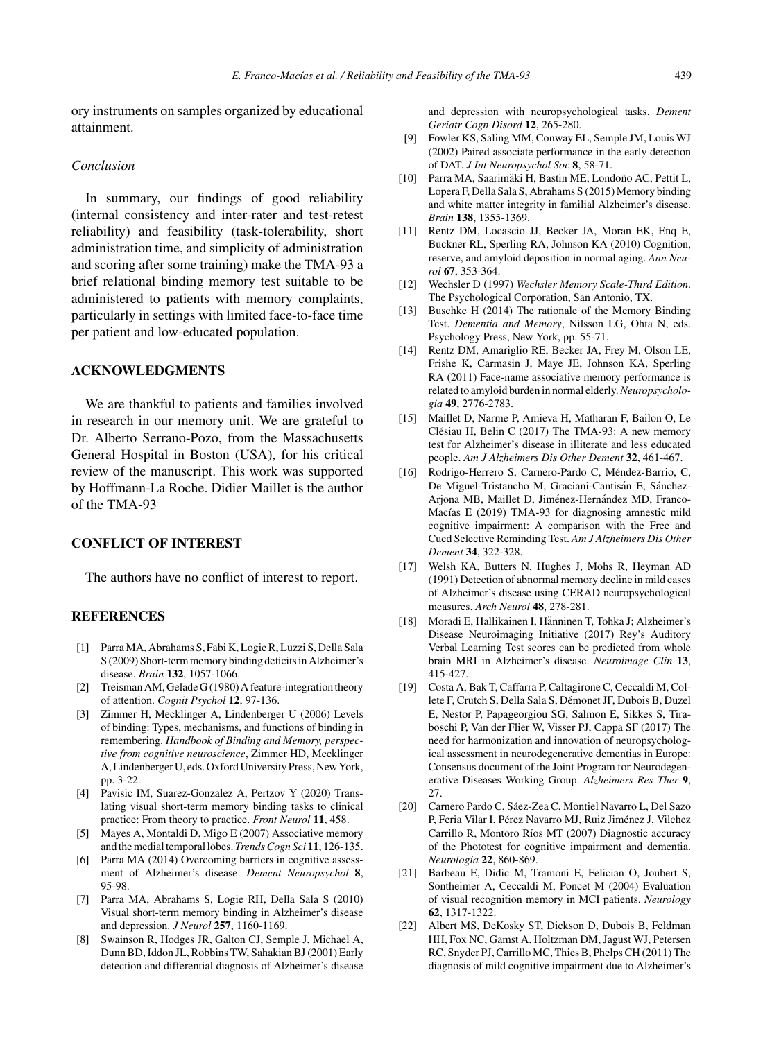ory instruments on samples organized by educational attainment.

## *Conclusion*

In summary, our findings of good reliability (internal consistency and inter-rater and test-retest reliability) and feasibility (task-tolerability, short administration time, and simplicity of administration and scoring after some training) make the TMA-93 a brief relational binding memory test suitable to be administered to patients with memory complaints, particularly in settings with limited face-to-face time per patient and low-educated population.

# **ACKNOWLEDGMENTS**

We are thankful to patients and families involved in research in our memory unit. We are grateful to Dr. Alberto Serrano-Pozo, from the Massachusetts General Hospital in Boston (USA), for his critical review of the manuscript. This work was supported by Hoffmann-La Roche. Didier Maillet is the author of the TMA-93

# **CONFLICT OF INTEREST**

The authors have no conflict of interest to report.

#### **REFERENCES**

- [1] Parra MA, Abrahams S, Fabi K, Logie R, Luzzi S, Della Sala S (2009) Short-term memory binding deficits in Alzheimer's disease. *Brain* **132**, 1057-1066.
- [2] Treisman AM, Gelade G (1980) A feature-integration theory of attention. *Cognit Psychol* **12**, 97-136.
- [3] Zimmer H, Mecklinger A, Lindenberger U (2006) Levels of binding: Types, mechanisms, and functions of binding in remembering. *Handbook of Binding and Memory, perspective from cognitive neuroscience*, Zimmer HD, Mecklinger A, Lindenberger U, eds. Oxford University Press, New York, pp. 3-22.
- [4] Pavisic IM, Suarez-Gonzalez A, Pertzov Y (2020) Translating visual short-term memory binding tasks to clinical practice: From theory to practice. *Front Neurol* **11**, 458.
- [5] Mayes A, Montaldi D, Migo E (2007) Associative memory and the medial temporal lobes. *Trends Cogn Sci* **11**, 126-135.
- [6] Parra MA (2014) Overcoming barriers in cognitive assessment of Alzheimer's disease. *Dement Neuropsychol* **8**, 95-98.
- [7] Parra MA, Abrahams S, Logie RH, Della Sala S (2010) Visual short-term memory binding in Alzheimer's disease and depression. *J Neurol* **257**, 1160-1169.
- [8] Swainson R, Hodges JR, Galton CJ, Semple J, Michael A, Dunn BD, Iddon JL, Robbins TW, Sahakian BJ (2001) Early detection and differential diagnosis of Alzheimer's disease

and depression with neuropsychological tasks. *Dement Geriatr Cogn Disord* **12**, 265-280.

- [9] Fowler KS, Saling MM, Conway EL, Semple JM, Louis WJ (2002) Paired associate performance in the early detection of DAT. *J Int Neuropsychol Soc* **8**, 58-71.
- [10] Parra MA, Saarimäki H, Bastin ME, Londoño AC, Pettit L, Lopera F, Della Sala S, Abrahams S (2015) Memory binding and white matter integrity in familial Alzheimer's disease. *Brain* **138**, 1355-1369.
- [11] Rentz DM, Locascio JJ, Becker JA, Moran EK, Enq E, Buckner RL, Sperling RA, Johnson KA (2010) Cognition, reserve, and amyloid deposition in normal aging. *Ann Neurol* **67**, 353-364.
- [12] Wechsler D (1997) *Wechsler Memory Scale-Third Edition*. The Psychological Corporation, San Antonio, TX.
- [13] Buschke H (2014) The rationale of the Memory Binding Test. *Dementia and Memory*, Nilsson LG, Ohta N, eds. Psychology Press, New York, pp. 55-71.
- [14] Rentz DM, Amariglio RE, Becker JA, Frey M, Olson LE, Frishe K, Carmasin J, Maye JE, Johnson KA, Sperling RA (2011) Face-name associative memory performance is related to amyloid burden in normal elderly.*Neuropsychologia* **49**, 2776-2783.
- [15] Maillet D, Narme P, Amieva H, Matharan F, Bailon O, Le Clésiau H, Belin C (2017) The TMA-93: A new memory test for Alzheimer's disease in illiterate and less educated people. *Am J Alzheimers Dis Other Dement* **32**, 461-467.
- [16] Rodrigo-Herrero S, Carnero-Pardo C, Méndez-Barrio, C, De Miguel-Tristancho M, Graciani-Cantisán E, Sánchez-Arjona MB, Maillet D, Jiménez-Hernández MD, Franco-Macías E (2019) TMA-93 for diagnosing amnestic mild cognitive impairment: A comparison with the Free and Cued Selective Reminding Test. *Am J Alzheimers Dis Other Dement* **34**, 322-328.
- [17] Welsh KA, Butters N, Hughes J, Mohs R, Heyman AD (1991) Detection of abnormal memory decline in mild cases of Alzheimer's disease using CERAD neuropsychological measures. *Arch Neurol* **48**, 278-281.
- [18] Moradi E, Hallikainen I, Hänninen T, Tohka J; Alzheimer's Disease Neuroimaging Initiative (2017) Rey's Auditory Verbal Learning Test scores can be predicted from whole brain MRI in Alzheimer's disease. *Neuroimage Clin* **13**, 415-427.
- [19] Costa A, Bak T, Caffarra P, Caltagirone C, Ceccaldi M, Collete F, Crutch S, Della Sala S, Démonet JF, Dubois B, Duzel E, Nestor P, Papageorgiou SG, Salmon E, Sikkes S, Tiraboschi P, Van der Flier W, Visser PJ, Cappa SF (2017) The need for harmonization and innovation of neuropsychological assessment in neurodegenerative dementias in Europe: Consensus document of the Joint Program for Neurodegenerative Diseases Working Group. *Alzheimers Res Ther* **9**, 27.
- [20] Carnero Pardo C, Sáez-Zea C, Montiel Navarro L, Del Sazo P, Feria Vilar I, Pérez Navarro MJ, Ruiz Jiménez J, Vilchez Carrillo R, Montoro Ríos MT (2007) Diagnostic accuracy of the Phototest for cognitive impairment and dementia. *Neurologia* **22**, 860-869.
- [21] Barbeau E, Didic M, Tramoni E, Felician O, Joubert S, Sontheimer A, Ceccaldi M, Poncet M (2004) Evaluation of visual recognition memory in MCI patients. *Neurology* **62**, 1317-1322.
- [22] Albert MS, DeKosky ST, Dickson D, Dubois B, Feldman HH, Fox NC, Gamst A, Holtzman DM, Jagust WJ, Petersen RC, Snyder PJ, Carrillo MC, Thies B, Phelps CH (2011) The diagnosis of mild cognitive impairment due to Alzheimer's